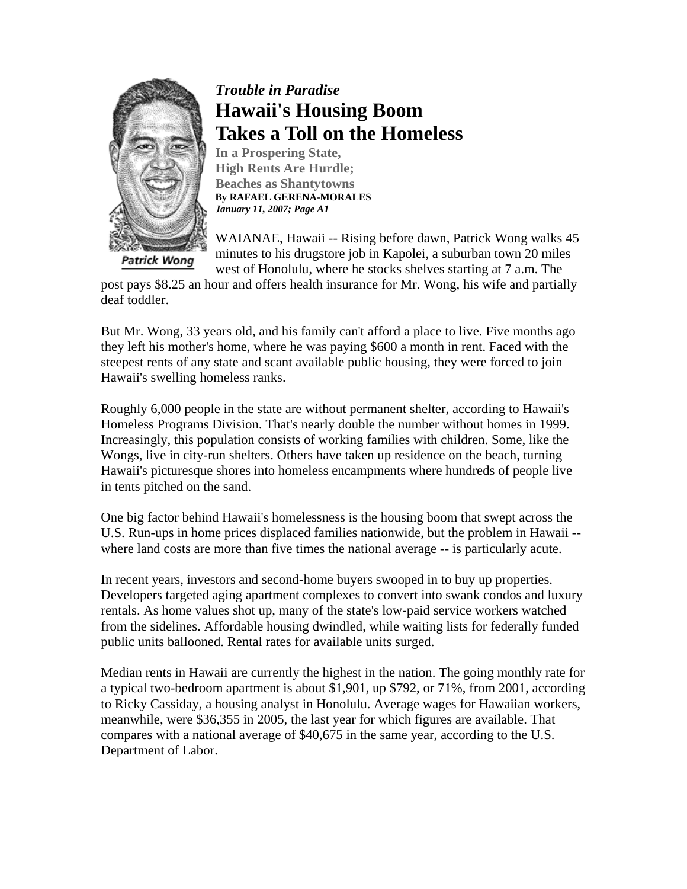

# *Trouble in Paradise* **Hawaii's Housing Boom Takes a Toll on the Homeless**

**In a Prospering State, High Rents Are Hurdle; Beaches as Shantytowns By RAFAEL GERENA-MORALES**  *January 11, 2007; Page A1*

WAIANAE, Hawaii -- Rising before dawn, Patrick Wong walks 45 minutes to his drugstore job in Kapolei, a suburban town 20 miles west of Honolulu, where he stocks shelves starting at 7 a.m. The

post pays \$8.25 an hour and offers health insurance for Mr. Wong, his wife and partially deaf toddler.

But Mr. Wong, 33 years old, and his family can't afford a place to live. Five months ago they left his mother's home, where he was paying \$600 a month in rent. Faced with the steepest rents of any state and scant available public housing, they were forced to join Hawaii's swelling homeless ranks.

Roughly 6,000 people in the state are without permanent shelter, according to Hawaii's Homeless Programs Division. That's nearly double the number without homes in 1999. Increasingly, this population consists of working families with children. Some, like the Wongs, live in city-run shelters. Others have taken up residence on the beach, turning Hawaii's picturesque shores into homeless encampments where hundreds of people live in tents pitched on the sand.

One big factor behind Hawaii's homelessness is the housing boom that swept across the U.S. Run-ups in home prices displaced families nationwide, but the problem in Hawaii - where land costs are more than five times the national average -- is particularly acute.

In recent years, investors and second-home buyers swooped in to buy up properties. Developers targeted aging apartment complexes to convert into swank condos and luxury rentals. As home values shot up, many of the state's low-paid service workers watched from the sidelines. Affordable housing dwindled, while waiting lists for federally funded public units ballooned. Rental rates for available units surged.

Median rents in Hawaii are currently the highest in the nation. The going monthly rate for a typical two-bedroom apartment is about \$1,901, up \$792, or 71%, from 2001, according to Ricky Cassiday, a housing analyst in Honolulu. Average wages for Hawaiian workers, meanwhile, were \$36,355 in 2005, the last year for which figures are available. That compares with a national average of \$40,675 in the same year, according to the U.S. Department of Labor.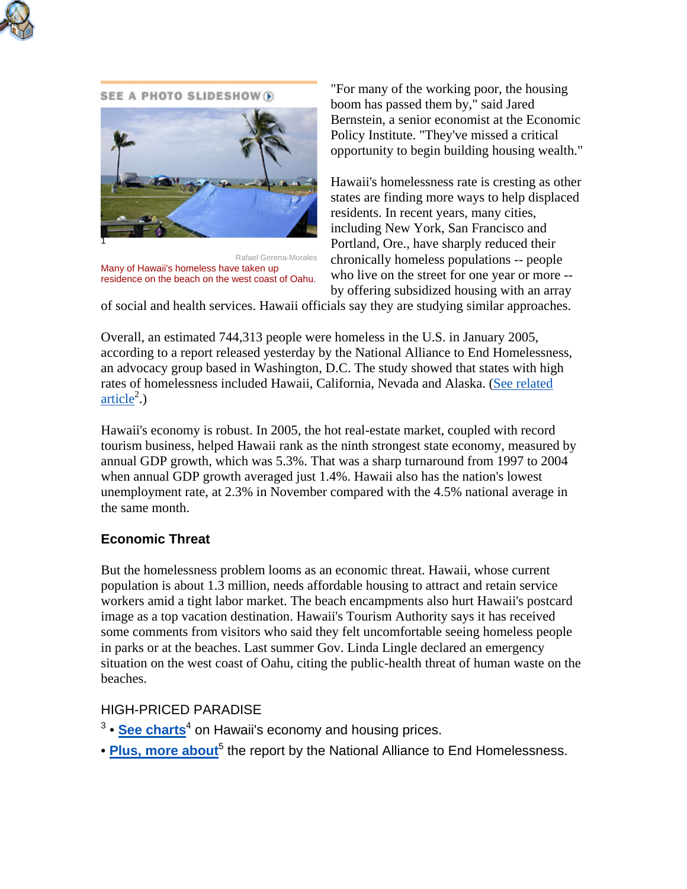

#### SEE A PHOTO SLIDESHOW (



Rafael Gerena-Morales Many of Hawaii's homeless have taken up residence on the beach on the west coast of Oahu.

"For many of the working poor, the housing boom has passed them by," said Jared Bernstein, a senior economist at the Economic Policy Institute. "They've missed a critical opportunity to begin building housing wealth."

Hawaii's homelessness rate is cresting as other states are finding more ways to help displaced residents. In recent years, many cities, including New York, San Francisco and Portland, Ore., have sharply reduced their chronically homeless populations -- people who live on the street for one year or more - by offering subsidized housing with an array

of social and health services. Hawaii officials say they are studying similar approaches.

Overall, an estimated 744,313 people were homeless in the U.S. in January 2005, according to a report released yesterday by the National Alliance to End Homelessness, an advocacy group based in Washington, D.C. The study showed that states with high rates of homelessness included Hawaii, California, Nevada and Alaska. (See related  $\ar{ticle}^2$ .)

Hawaii's economy is robust. In 2005, the hot real-estate market, coupled with record tourism business, helped Hawaii rank as the ninth strongest state economy, measured by annual GDP growth, which was 5.3%. That was a sharp turnaround from 1997 to 2004 when annual GDP growth averaged just 1.4%. Hawaii also has the nation's lowest unemployment rate, at 2.3% in November compared with the 4.5% national average in the same month.

## **Economic Threat**

But the homelessness problem looms as an economic threat. Hawaii, whose current population is about 1.3 million, needs affordable housing to attract and retain service workers amid a tight labor market. The beach encampments also hurt Hawaii's postcard image as a top vacation destination. Hawaii's Tourism Authority says it has received some comments from visitors who said they felt uncomfortable seeing homeless people in parks or at the beaches. Last summer Gov. Linda Lingle declared an emergency situation on the west coast of Oahu, citing the public-health threat of human waste on the beaches.

### HIGH-PRICED PARADISE

- <sup>3</sup> <mark>See charts<sup>4</sup> on Hawaii's economy and housing prices.</mark>
- **Plus, more about**<sup>5</sup> the report by the National Alliance to End Homelessness.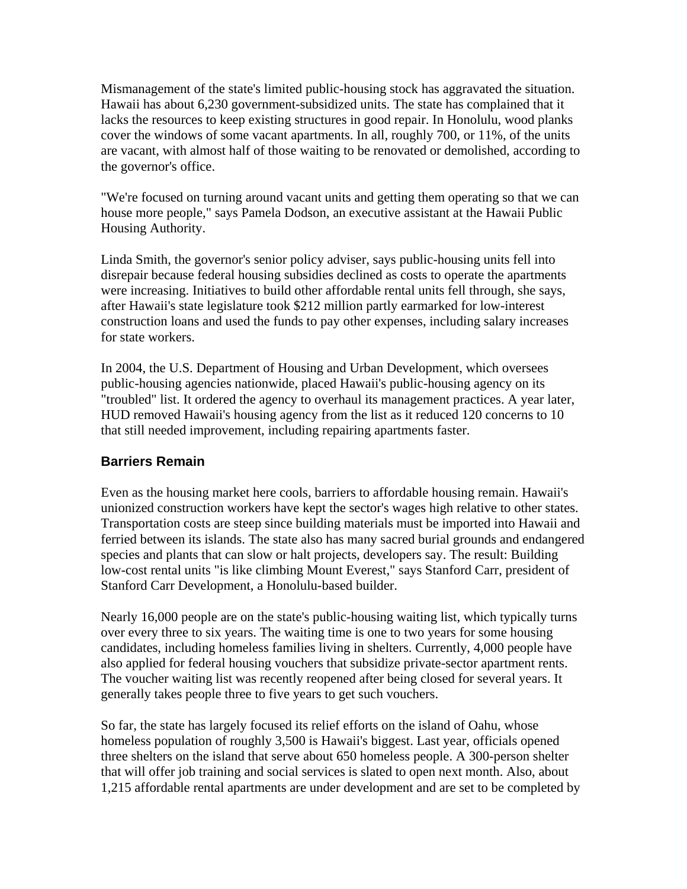Mismanagement of the state's limited public-housing stock has aggravated the situation. Hawaii has about 6,230 government-subsidized units. The state has complained that it lacks the resources to keep existing structures in good repair. In Honolulu, wood planks cover the windows of some vacant apartments. In all, roughly 700, or 11%, of the units are vacant, with almost half of those waiting to be renovated or demolished, according to the governor's office.

"We're focused on turning around vacant units and getting them operating so that we can house more people," says Pamela Dodson, an executive assistant at the Hawaii Public Housing Authority.

Linda Smith, the governor's senior policy adviser, says public-housing units fell into disrepair because federal housing subsidies declined as costs to operate the apartments were increasing. Initiatives to build other affordable rental units fell through, she says, after Hawaii's state legislature took \$212 million partly earmarked for low-interest construction loans and used the funds to pay other expenses, including salary increases for state workers.

In 2004, the U.S. Department of Housing and Urban Development, which oversees public-housing agencies nationwide, placed Hawaii's public-housing agency on its "troubled" list. It ordered the agency to overhaul its management practices. A year later, HUD removed Hawaii's housing agency from the list as it reduced 120 concerns to 10 that still needed improvement, including repairing apartments faster.

## **Barriers Remain**

Even as the housing market here cools, barriers to affordable housing remain. Hawaii's unionized construction workers have kept the sector's wages high relative to other states. Transportation costs are steep since building materials must be imported into Hawaii and ferried between its islands. The state also has many sacred burial grounds and endangered species and plants that can slow or halt projects, developers say. The result: Building low-cost rental units "is like climbing Mount Everest," says Stanford Carr, president of Stanford Carr Development, a Honolulu-based builder.

Nearly 16,000 people are on the state's public-housing waiting list, which typically turns over every three to six years. The waiting time is one to two years for some housing candidates, including homeless families living in shelters. Currently, 4,000 people have also applied for federal housing vouchers that subsidize private-sector apartment rents. The voucher waiting list was recently reopened after being closed for several years. It generally takes people three to five years to get such vouchers.

So far, the state has largely focused its relief efforts on the island of Oahu, whose homeless population of roughly 3,500 is Hawaii's biggest. Last year, officials opened three shelters on the island that serve about 650 homeless people. A 300-person shelter that will offer job training and social services is slated to open next month. Also, about 1,215 affordable rental apartments are under development and are set to be completed by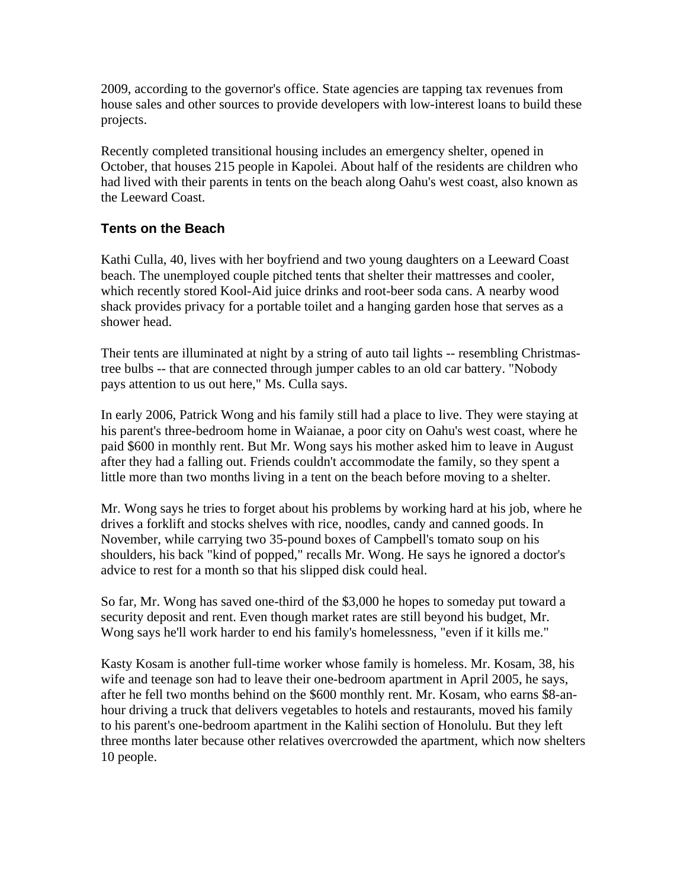2009, according to the governor's office. State agencies are tapping tax revenues from house sales and other sources to provide developers with low-interest loans to build these projects.

Recently completed transitional housing includes an emergency shelter, opened in October, that houses 215 people in Kapolei. About half of the residents are children who had lived with their parents in tents on the beach along Oahu's west coast, also known as the Leeward Coast.

## **Tents on the Beach**

Kathi Culla, 40, lives with her boyfriend and two young daughters on a Leeward Coast beach. The unemployed couple pitched tents that shelter their mattresses and cooler, which recently stored Kool-Aid juice drinks and root-beer soda cans. A nearby wood shack provides privacy for a portable toilet and a hanging garden hose that serves as a shower head.

Their tents are illuminated at night by a string of auto tail lights -- resembling Christmastree bulbs -- that are connected through jumper cables to an old car battery. "Nobody pays attention to us out here," Ms. Culla says.

In early 2006, Patrick Wong and his family still had a place to live. They were staying at his parent's three-bedroom home in Waianae, a poor city on Oahu's west coast, where he paid \$600 in monthly rent. But Mr. Wong says his mother asked him to leave in August after they had a falling out. Friends couldn't accommodate the family, so they spent a little more than two months living in a tent on the beach before moving to a shelter.

Mr. Wong says he tries to forget about his problems by working hard at his job, where he drives a forklift and stocks shelves with rice, noodles, candy and canned goods. In November, while carrying two 35-pound boxes of Campbell's tomato soup on his shoulders, his back "kind of popped," recalls Mr. Wong. He says he ignored a doctor's advice to rest for a month so that his slipped disk could heal.

So far, Mr. Wong has saved one-third of the \$3,000 he hopes to someday put toward a security deposit and rent. Even though market rates are still beyond his budget, Mr. Wong says he'll work harder to end his family's homelessness, "even if it kills me."

Kasty Kosam is another full-time worker whose family is homeless. Mr. Kosam, 38, his wife and teenage son had to leave their one-bedroom apartment in April 2005, he says, after he fell two months behind on the \$600 monthly rent. Mr. Kosam, who earns \$8-anhour driving a truck that delivers vegetables to hotels and restaurants, moved his family to his parent's one-bedroom apartment in the Kalihi section of Honolulu. But they left three months later because other relatives overcrowded the apartment, which now shelters 10 people.